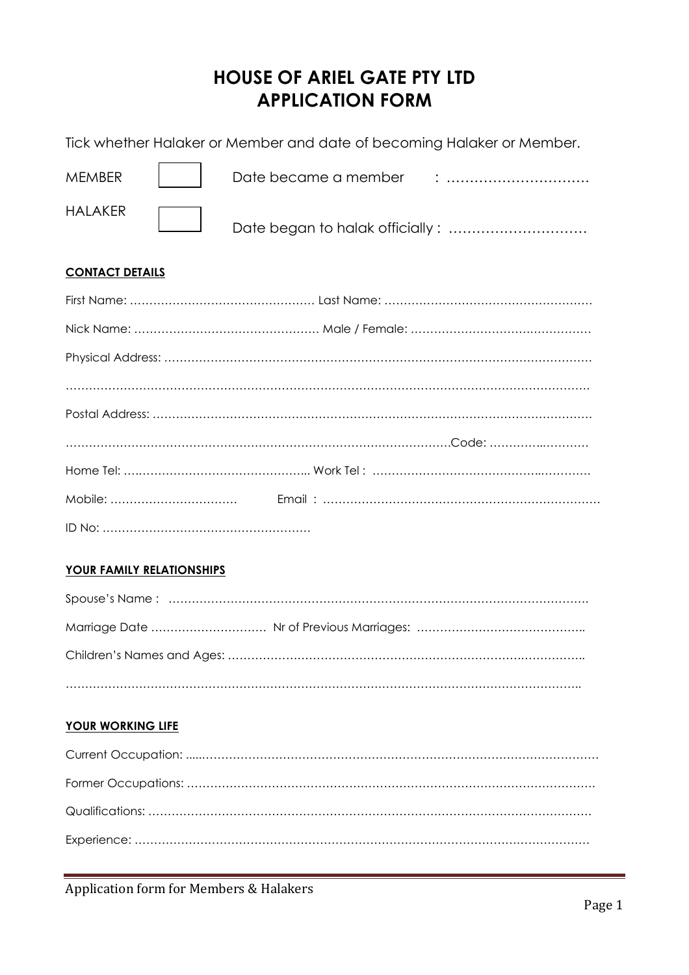# **HOUSE OF ARIEL GATE PTY LTD APPLICATION FORM**

Tick whether Halaker or Member and date of becoming Halaker or Member.

| <b>MEMBER</b>  | Date became a member |  |
|----------------|----------------------|--|
| <b>HALAKER</b> |                      |  |

### **CONTACT DETAILS**

# **YOUR FAMILY RELATIONSHIPS**

# **YOUR WORKING LIFE**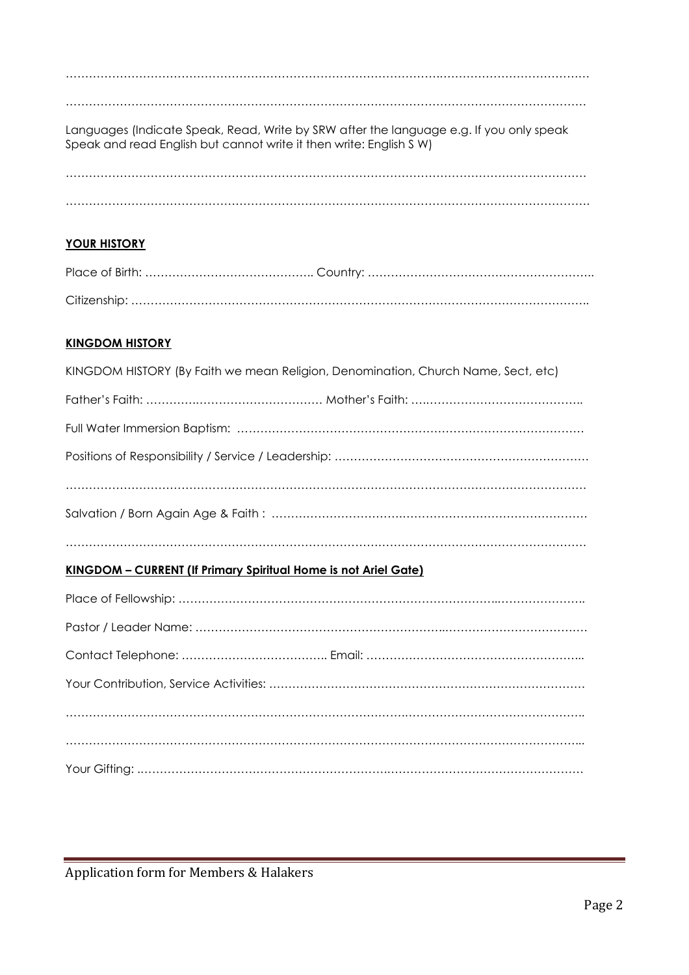……………………………………………………………………………………………………………………… Languages (Indicate Speak, Read, Write by SRW after the language e.g. If you only speak Speak and read English but cannot write it then write: English S W) ………………………………………………………………………………………………………………………

…………………………………………………………………………………….…………………………………

……………………………………………………………………………………………………………………….

# **YOUR HISTORY**

#### **KINGDOM HISTORY**

| KINGDOM HISTORY (By Faith we mean Religion, Denomination, Church Name, Sect, etc) |
|-----------------------------------------------------------------------------------|
|                                                                                   |
|                                                                                   |
|                                                                                   |
|                                                                                   |
|                                                                                   |
|                                                                                   |

### **KINGDOM – CURRENT (If Primary Spiritual Home is not Ariel Gate)**

Application form for Members & Halakers